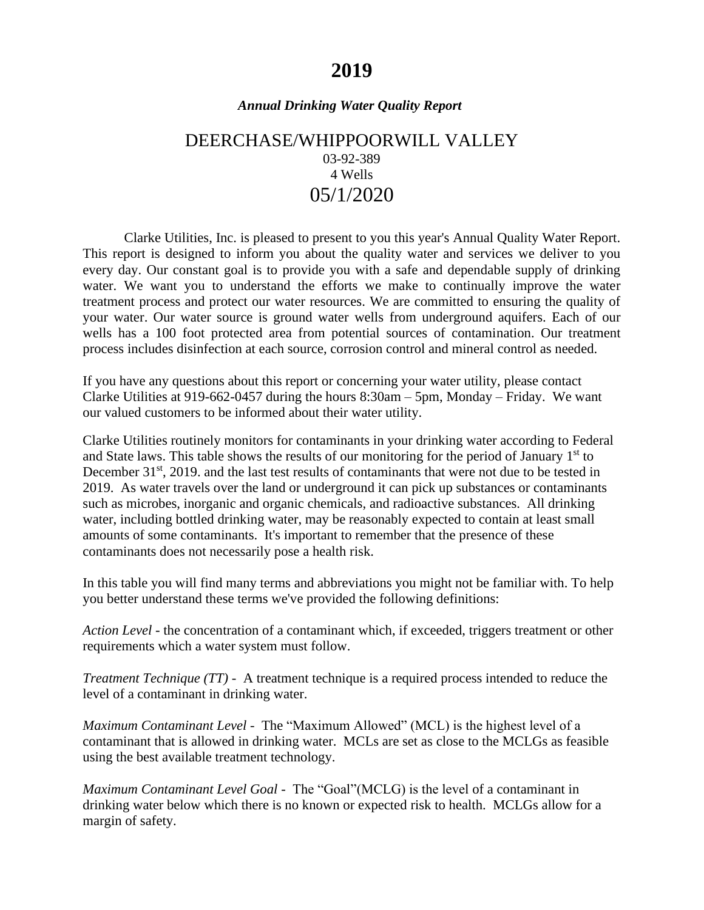# **2019**

### *Annual Drinking Water Quality Report*

## DEERCHASE/WHIPPOORWILL VALLEY 03-92-389 4 Wells 05/1/2020

Clarke Utilities, Inc. is pleased to present to you this year's Annual Quality Water Report. This report is designed to inform you about the quality water and services we deliver to you every day. Our constant goal is to provide you with a safe and dependable supply of drinking water. We want you to understand the efforts we make to continually improve the water treatment process and protect our water resources. We are committed to ensuring the quality of your water. Our water source is ground water wells from underground aquifers. Each of our wells has a 100 foot protected area from potential sources of contamination. Our treatment process includes disinfection at each source, corrosion control and mineral control as needed.

If you have any questions about this report or concerning your water utility, please contact Clarke Utilities at 919-662-0457 during the hours 8:30am – 5pm, Monday – Friday. We want our valued customers to be informed about their water utility.

Clarke Utilities routinely monitors for contaminants in your drinking water according to Federal and State laws. This table shows the results of our monitoring for the period of January  $1<sup>st</sup>$  to December 31<sup>st</sup>, 2019. and the last test results of contaminants that were not due to be tested in 2019.As water travels over the land or underground it can pick up substances or contaminants such as microbes, inorganic and organic chemicals, and radioactive substances. All drinking water, including bottled drinking water, may be reasonably expected to contain at least small amounts of some contaminants. It's important to remember that the presence of these contaminants does not necessarily pose a health risk.

In this table you will find many terms and abbreviations you might not be familiar with. To help you better understand these terms we've provided the following definitions:

*Action Level* - the concentration of a contaminant which, if exceeded, triggers treatment or other requirements which a water system must follow.

*Treatment Technique (TT)* - A treatment technique is a required process intended to reduce the level of a contaminant in drinking water.

*Maximum Contaminant Level* - The "Maximum Allowed" (MCL) is the highest level of a contaminant that is allowed in drinking water. MCLs are set as close to the MCLGs as feasible using the best available treatment technology.

*Maximum Contaminant Level Goal* - The "Goal"(MCLG) is the level of a contaminant in drinking water below which there is no known or expected risk to health. MCLGs allow for a margin of safety.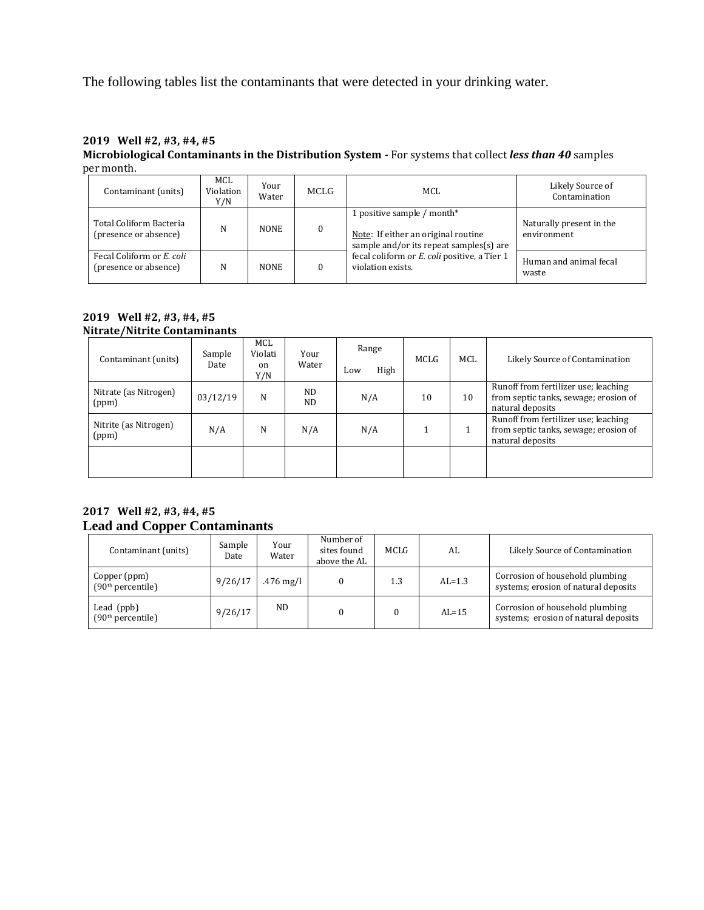The following tables list the contaminants that were detected in your drinking water.

#### **2019 Well #2, #3, #4, #5 Microbiological Contaminants in the Distribution System -** For systems that collect *less than 40* samples per month.

| Contaminant (units)                                | MCL<br>Violation<br>Y/N | Your<br>Water | MCLG     | MCL.                                                                                                         | Likely Source of<br>Contamination       |
|----------------------------------------------------|-------------------------|---------------|----------|--------------------------------------------------------------------------------------------------------------|-----------------------------------------|
| Total Coliform Bacteria<br>(presence or absence)   | N                       | <b>NONE</b>   | $\bf{0}$ | 1 positive sample / month*<br>Note: If either an original routine<br>sample and/or its repeat samples(s) are | Naturally present in the<br>environment |
| Fecal Coliform or E. coli<br>(presence or absence) | N                       | <b>NONE</b>   |          | fecal coliform or E. coli positive, a Tier 1<br>violation exists.                                            | Human and animal fecal<br>waste         |

#### **2019 Well #2, #3, #4, #5 Nitrate/Nitrite Contaminants**

| Contaminant (units)            | Sample<br>Date | MCL<br>Violati<br><sub>on</sub><br>Y/N | Your<br>Water | Range<br>High<br>Low | MCLG | <b>MCL</b> | Likely Source of Contamination                                                                    |
|--------------------------------|----------------|----------------------------------------|---------------|----------------------|------|------------|---------------------------------------------------------------------------------------------------|
| Nitrate (as Nitrogen)<br>(ppm) | 03/12/19       | N                                      | ND.<br>ND.    | N/A                  | 10   | 10         | Runoff from fertilizer use; leaching<br>from septic tanks, sewage; erosion of<br>natural deposits |
| Nitrite (as Nitrogen)<br>(ppm) | N/A            | N                                      | N/A           | N/A                  |      |            | Runoff from fertilizer use; leaching<br>from septic tanks, sewage; erosion of<br>natural deposits |
|                                |                |                                        |               |                      |      |            |                                                                                                   |

#### **2017 Well #2, #3, #4, #5 Lead and Copper Contaminants**

| Contaminant (units)                           | Sample<br>Date | Your<br>Water | Number of<br>sites found<br>above the AL | MCLG | AL       | Likely Source of Contamination                                          |
|-----------------------------------------------|----------------|---------------|------------------------------------------|------|----------|-------------------------------------------------------------------------|
| Copper (ppm)<br>(90 <sup>th</sup> percentile) | 9/26/17        | $.476$ mg/l   | $\Omega$                                 | 1.3  | $AL=1.3$ | Corrosion of household plumbing<br>systems; erosion of natural deposits |
| Lead $(ppb)$<br>(90 <sup>th</sup> percentile) | 9/26/17        | ND.           |                                          |      | $AL=15$  | Corrosion of household plumbing<br>systems; erosion of natural deposits |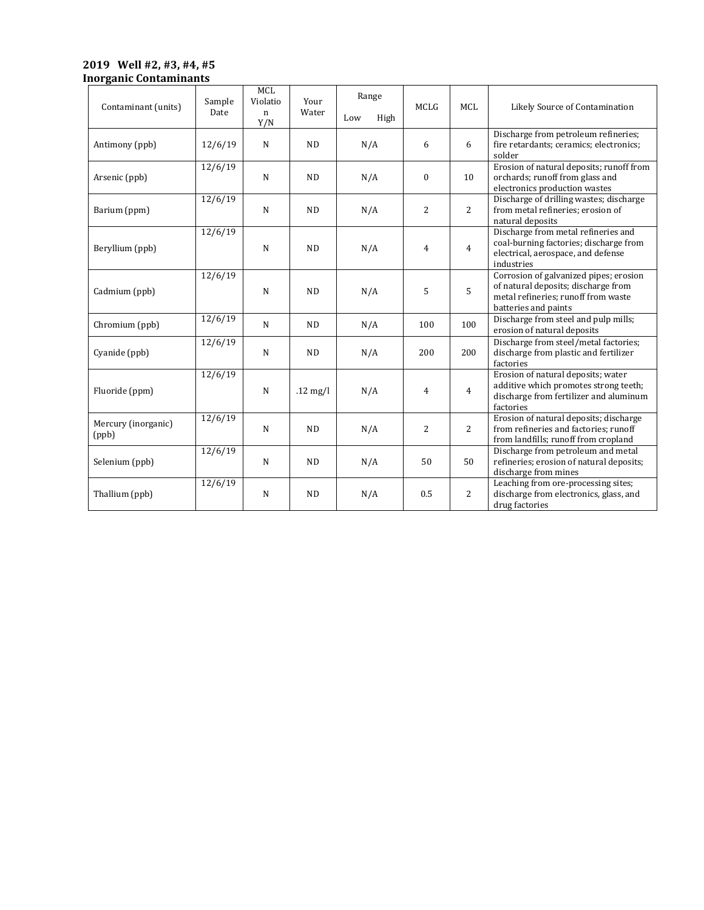#### **2019 Well #2, #3, #4, #5 Inorganic Contaminants**

| Contaminant (units)          | Sample<br>Date | MCL<br>Violatio<br>n<br>Y/N | Your<br>Water | Range<br>Low<br>High | <b>MCLG</b>    | MCL            | Likely Source of Contamination                                                                                                               |
|------------------------------|----------------|-----------------------------|---------------|----------------------|----------------|----------------|----------------------------------------------------------------------------------------------------------------------------------------------|
| Antimony (ppb)               | 12/6/19        | $\mathbf N$                 | <b>ND</b>     | N/A                  | 6              | 6              | Discharge from petroleum refineries;<br>fire retardants; ceramics; electronics;<br>solder                                                    |
| Arsenic (ppb)                | 12/6/19        | $\mathbf N$                 | <b>ND</b>     | N/A                  | $\theta$       | 10             | Erosion of natural deposits; runoff from<br>orchards; runoff from glass and<br>electronics production wastes                                 |
| Barium (ppm)                 | 12/6/19        | $\mathbf N$                 | <b>ND</b>     | N/A                  | 2              | $\overline{2}$ | Discharge of drilling wastes; discharge<br>from metal refineries; erosion of<br>natural deposits                                             |
| Beryllium (ppb)              | 12/6/19        | $\mathbf N$                 | <b>ND</b>     | N/A                  | 4              | $\overline{4}$ | Discharge from metal refineries and<br>coal-burning factories; discharge from<br>electrical, aerospace, and defense<br>industries            |
| Cadmium (ppb)                | 12/6/19        | N                           | <b>ND</b>     | N/A                  | 5              | 5              | Corrosion of galvanized pipes; erosion<br>of natural deposits; discharge from<br>metal refineries; runoff from waste<br>batteries and paints |
| Chromium (ppb)               | 12/6/19        | $\mathbf N$                 | ND            | N/A                  | 100            | 100            | Discharge from steel and pulp mills;<br>erosion of natural deposits                                                                          |
| Cyanide (ppb)                | 12/6/19        | $\mathbf N$                 | <b>ND</b>     | N/A                  | 200            | 200            | Discharge from steel/metal factories;<br>discharge from plastic and fertilizer<br>factories                                                  |
| Fluoride (ppm)               | 12/6/19        | $\mathbf N$                 | $.12$ mg/l    | N/A                  | $\overline{4}$ | $\overline{4}$ | Erosion of natural deposits; water<br>additive which promotes strong teeth;<br>discharge from fertilizer and aluminum<br>factories           |
| Mercury (inorganic)<br>(ppb) | 12/6/19        | $\mathbf N$                 | <b>ND</b>     | N/A                  | 2              | $\overline{2}$ | Erosion of natural deposits; discharge<br>from refineries and factories; runoff<br>from landfills; runoff from cropland                      |
| Selenium (ppb)               | 12/6/19        | $\mathbf N$                 | <b>ND</b>     | N/A                  | 50             | 50             | Discharge from petroleum and metal<br>refineries; erosion of natural deposits;<br>discharge from mines                                       |
| Thallium (ppb)               | 12/6/19        | $\mathbf N$                 | <b>ND</b>     | N/A                  | 0.5            | 2              | Leaching from ore-processing sites;<br>discharge from electronics, glass, and<br>drug factories                                              |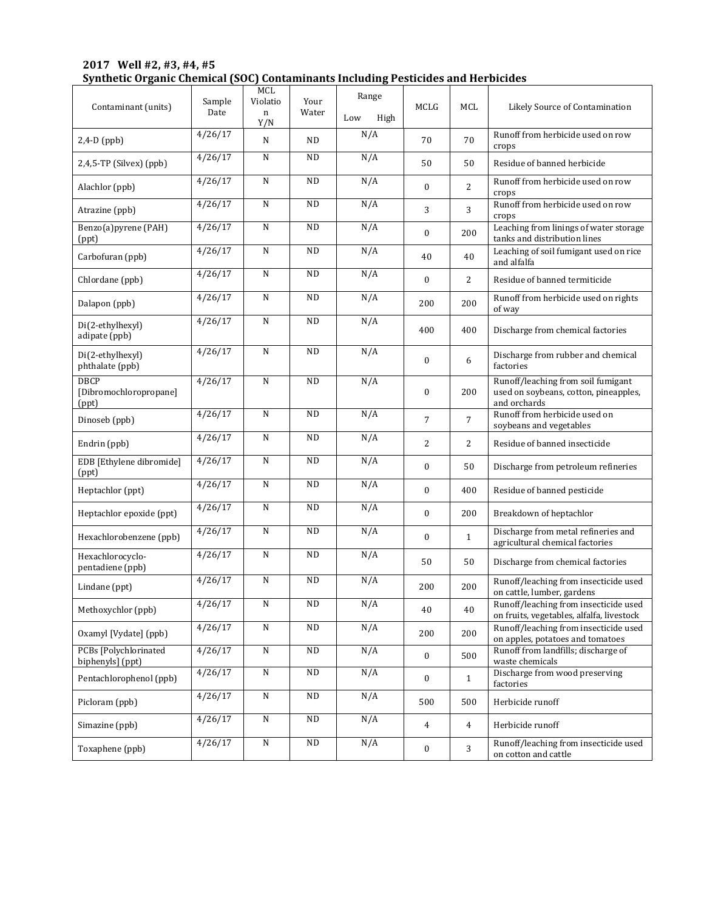| 2017 Well #2, #3, #4, #5 |                                                                                   |  |
|--------------------------|-----------------------------------------------------------------------------------|--|
|                          | Synthetic Organic Chemical (SOC) Contaminants Including Pesticides and Herbicides |  |

| Contaminant (units)                       | Sample<br>Date     | MCL<br>Violatio<br>n<br>Y/N | Your<br>Water | Range<br>Low<br>High | <b>MCLG</b>      | MCL            | Likely Source of Contamination                                                              |
|-------------------------------------------|--------------------|-----------------------------|---------------|----------------------|------------------|----------------|---------------------------------------------------------------------------------------------|
| $2,4-D$ (ppb)                             | 4/26/17            | N                           | <b>ND</b>     | N/A                  | 70               | 70             | Runoff from herbicide used on row<br>crops                                                  |
| 2,4,5-TP (Silvex) (ppb)                   | 4/26/17            | N                           | <b>ND</b>     | N/A                  | 50               | 50             | Residue of banned herbicide                                                                 |
| Alachlor (ppb)                            | 4/26/17            | N                           | <b>ND</b>     | N/A                  | $\mathbf{0}$     | $\overline{c}$ | Runoff from herbicide used on row<br>crops                                                  |
| Atrazine (ppb)                            | 4/26/17            | N                           | <b>ND</b>     | N/A                  | 3                | 3              | Runoff from herbicide used on row<br>crops                                                  |
| Benzo(a)pyrene (PAH)<br>(ppt)             | 4/26/17            | N                           | <b>ND</b>     | N/A                  | $\mathbf{0}$     | 200            | Leaching from linings of water storage<br>tanks and distribution lines                      |
| Carbofuran (ppb)                          | 4/26/17            | N                           | <b>ND</b>     | N/A                  | 40               | 40             | Leaching of soil fumigant used on rice<br>and alfalfa                                       |
| Chlordane (ppb)                           | 4/26/17            | N                           | <b>ND</b>     | N/A                  | $\mathbf{0}$     | $\overline{2}$ | Residue of banned termiticide                                                               |
| Dalapon (ppb)                             | $\frac{4}{26}$ /17 | ${\bf N}$                   | <b>ND</b>     | N/A                  | 200              | 200            | Runoff from herbicide used on rights<br>of way                                              |
| Di(2-ethylhexyl)<br>adipate (ppb)         | 4/26/17            | ${\bf N}$                   | <b>ND</b>     | N/A                  | 400              | 400            | Discharge from chemical factories                                                           |
| Di(2-ethylhexyl)<br>phthalate (ppb)       | 4/26/17            | N                           | <b>ND</b>     | N/A                  | $\mathbf{0}$     | 6              | Discharge from rubber and chemical<br>factories                                             |
| DBCP<br>[Dibromochloropropane]<br>(ppt)   | 4/26/17            | N                           | <b>ND</b>     | N/A                  | $\mathbf{0}$     | 200            | Runoff/leaching from soil fumigant<br>used on soybeans, cotton, pineapples,<br>and orchards |
| Dinoseb (ppb)                             | 4/26/17            | N                           | <b>ND</b>     | N/A                  | 7                | $\overline{7}$ | Runoff from herbicide used on<br>soybeans and vegetables                                    |
| Endrin (ppb)                              | 4/26/17            | ${\bf N}$                   | <b>ND</b>     | N/A                  | $\overline{2}$   | $\overline{2}$ | Residue of banned insecticide                                                               |
| EDB [Ethylene dibromide]<br>(ppt)         | 4/26/17            | N                           | <b>ND</b>     | N/A                  | $\boldsymbol{0}$ | 50             | Discharge from petroleum refineries                                                         |
| Heptachlor (ppt)                          | 4/26/17            | ${\bf N}$                   | <b>ND</b>     | N/A                  | $\boldsymbol{0}$ | 400            | Residue of banned pesticide                                                                 |
| Heptachlor epoxide (ppt)                  | 4/26/17            | N                           | <b>ND</b>     | N/A                  | $\boldsymbol{0}$ | 200            | Breakdown of heptachlor                                                                     |
| Hexachlorobenzene (ppb)                   | 4/26/17            | N                           | <b>ND</b>     | N/A                  | $\mathbf{0}$     | $\mathbf{1}$   | Discharge from metal refineries and<br>agricultural chemical factories                      |
| Hexachlorocyclo-<br>pentadiene (ppb)      | 4/26/17            | N                           | <b>ND</b>     | N/A                  | 50               | 50             | Discharge from chemical factories                                                           |
| Lindane (ppt)                             | 4/26/17            | N                           | ND            | N/A                  | 200              | 200            | Runoff/leaching from insecticide used<br>on cattle, lumber, gardens                         |
| Methoxychlor (ppb)                        | 4/26/17            | ${\bf N}$                   | ND            | N/A                  | $40\,$           | 40             | Runoff/leaching from insecticide used<br>on fruits, vegetables, alfalfa, livestock          |
| Oxamyl [Vydate] (ppb)                     | 4/26/17            | ${\bf N}$                   | $\rm ND$      | N/A                  | 200              | 200            | Runoff/leaching from insecticide used<br>on apples, potatoes and tomatoes                   |
| PCBs [Polychlorinated<br>biphenyls] (ppt) | 4/26/17            | ${\bf N}$                   | ND            | N/A                  | $\boldsymbol{0}$ | 500            | Runoff from landfills; discharge of<br>waste chemicals                                      |
| Pentachlorophenol (ppb)                   | 4/26/17            | ${\bf N}$                   | ND            | N/A                  | $\boldsymbol{0}$ | $\mathbf{1}$   | Discharge from wood preserving<br>factories                                                 |
| Picloram (ppb)                            | 4/26/17            | N                           | ND            | N/A                  | 500              | 500            | Herbicide runoff                                                                            |
| Simazine (ppb)                            | 4/26/17            | ${\bf N}$                   | ND            | N/A                  | $\overline{4}$   | $\overline{4}$ | Herbicide runoff                                                                            |
| Toxaphene (ppb)                           | 4/26/17            | ${\bf N}$                   | ND            | N/A                  | $\boldsymbol{0}$ | 3              | Runoff/leaching from insecticide used<br>on cotton and cattle                               |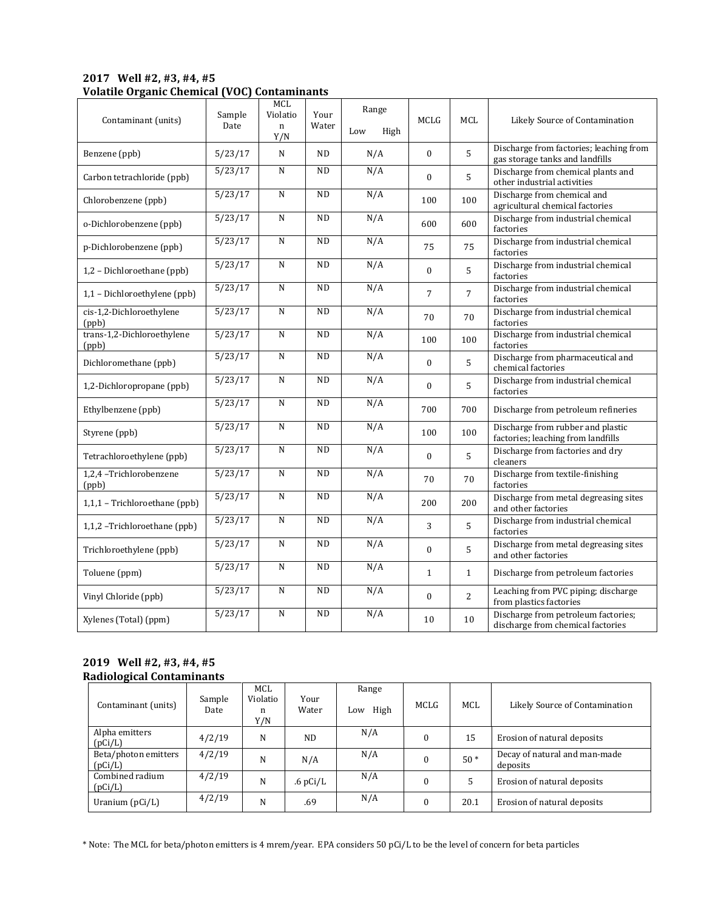### **2017 Well #2, #3, #4, #5 Volatile Organic Chemical (VOC) Contaminants**

| Contaminant (units)                 | Sample<br>Date    | MCL<br>Violatio<br>$\mathbf n$<br>Y/N | Your<br>Water | Range<br>Low<br>High | MCLG           | <b>MCL</b>     | Likely Source of Contamination                                             |
|-------------------------------------|-------------------|---------------------------------------|---------------|----------------------|----------------|----------------|----------------------------------------------------------------------------|
| Benzene (ppb)                       | 5/23/17           | N                                     | <b>ND</b>     | N/A                  | $\mathbf{0}$   | 5              | Discharge from factories; leaching from<br>gas storage tanks and landfills |
| Carbon tetrachloride (ppb)          | 5/23/17           | $\mathbf N$                           | <b>ND</b>     | N/A                  | $\mathbf{0}$   | 5              | Discharge from chemical plants and<br>other industrial activities          |
| Chlorobenzene (ppb)                 | 5/23/17           | N                                     | <b>ND</b>     | N/A                  | 100            | 100            | Discharge from chemical and<br>agricultural chemical factories             |
| o-Dichlorobenzene (ppb)             | 5/23/17           | N                                     | <b>ND</b>     | N/A                  | 600            | 600            | Discharge from industrial chemical<br>factories                            |
| p-Dichlorobenzene (ppb)             | 5/23/17           | ${\bf N}$                             | <b>ND</b>     | N/A                  | 75             | 75             | Discharge from industrial chemical<br>factories                            |
| 1,2 - Dichloroethane (ppb)          | 5/23/17           | N                                     | <b>ND</b>     | N/A                  | $\overline{0}$ | 5              | Discharge from industrial chemical<br>factories                            |
| 1,1 - Dichloroethylene (ppb)        | 5/23/17           | ${\bf N}$                             | ND            | N/A                  | 7              | $\overline{7}$ | Discharge from industrial chemical<br>factories                            |
| cis-1,2-Dichloroethylene<br>(ppb)   | 5/23/17           | ${\bf N}$                             | <b>ND</b>     | N/A                  | 70             | 70             | Discharge from industrial chemical<br>factories                            |
| trans-1,2-Dichloroethylene<br>(ppb) | 5/23/17           | N                                     | <b>ND</b>     | N/A                  | 100            | 100            | Discharge from industrial chemical<br>factories                            |
| Dichloromethane (ppb)               | 5/23/17           | ${\bf N}$                             | <b>ND</b>     | N/A                  | $\mathbf{0}$   | 5              | Discharge from pharmaceutical and<br>chemical factories                    |
| 1,2-Dichloropropane (ppb)           | 5/23/17           | N                                     | <b>ND</b>     | N/A                  | $\mathbf{0}$   | 5              | Discharge from industrial chemical<br>factories                            |
| Ethylbenzene (ppb)                  | 5/23/17           | ${\bf N}$                             | <b>ND</b>     | N/A                  | 700            | 700            | Discharge from petroleum refineries                                        |
| Styrene (ppb)                       | 5/23/17           | ${\bf N}$                             | <b>ND</b>     | N/A                  | 100            | 100            | Discharge from rubber and plastic<br>factories; leaching from landfills    |
| Tetrachloroethylene (ppb)           | 5/23/17           | N                                     | <b>ND</b>     | N/A                  | $\overline{0}$ | 5              | Discharge from factories and dry<br>cleaners                               |
| 1,2,4 -Trichlorobenzene<br>(ppb)    | 5/23/17           | ${\bf N}$                             | <b>ND</b>     | N/A                  | 70             | 70             | Discharge from textile-finishing<br>factories                              |
| 1,1,1 - Trichloroethane (ppb)       | $\frac{5}{23/17}$ | $\mathbf N$                           | <b>ND</b>     | N/A                  | 200            | 200            | Discharge from metal degreasing sites<br>and other factories               |
| 1,1,2 -Trichloroethane (ppb)        | 5/23/17           | N                                     | <b>ND</b>     | N/A                  | 3              | 5              | Discharge from industrial chemical<br>factories                            |
| Trichloroethylene (ppb)             | 5/23/17           | ${\bf N}$                             | ND            | N/A                  | $\mathbf{0}$   | 5              | Discharge from metal degreasing sites<br>and other factories               |
| Toluene (ppm)                       | 5/23/17           | N                                     | <b>ND</b>     | N/A                  | $\mathbf{1}$   | $\mathbf{1}$   | Discharge from petroleum factories                                         |
| Vinyl Chloride (ppb)                | 5/23/17           | ${\bf N}$                             | <b>ND</b>     | N/A                  | $\mathbf{0}$   | $\overline{2}$ | Leaching from PVC piping; discharge<br>from plastics factories             |
| Xylenes (Total) (ppm)               | 5/23/17           | ${\bf N}$                             | <b>ND</b>     | N/A                  | 10             | 10             | Discharge from petroleum factories;<br>discharge from chemical factories   |

#### **2019 Well #2, #3, #4, #5 Radiological Contaminants**

| Contaminant (units)             | Sample<br>Date | MCL<br>Violatio<br>n<br>Y/N | Your<br>Water  | Range<br>High<br>Low | MCLG     | <b>MCL</b> | Likely Source of Contamination            |
|---------------------------------|----------------|-----------------------------|----------------|----------------------|----------|------------|-------------------------------------------|
| Alpha emitters<br>(pCi/L)       | 4/2/19         | N                           | N <sub>D</sub> | N/A                  | $\theta$ | 15         | Erosion of natural deposits               |
| Beta/photon emitters<br>(pCi/L) | 4/2/19         | N                           | N/A            | N/A                  |          | $50*$      | Decay of natural and man-made<br>deposits |
| Combined radium<br>(pCi/L)      | 4/2/19         | N                           | $.6$ pCi/L     | N/A                  | $\theta$ |            | Erosion of natural deposits               |
| Uranium $(pCi/L)$               | 4/2/19         | N                           | .69            | N/A                  | 0        | 20.1       | Erosion of natural deposits               |

\* Note: The MCL for beta/photon emitters is 4 mrem/year. EPA considers 50 pCi/L to be the level of concern for beta particles